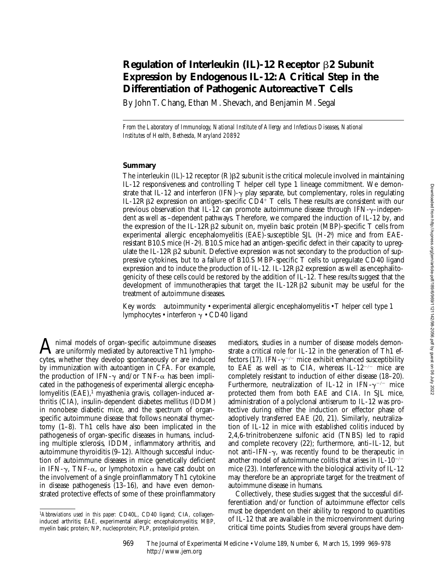# **Regulation of Interleukin (IL)-12 Receptor** b**2 Subunit Expression by Endogenous IL-12: A Critical Step in the Differentiation of Pathogenic Autoreactive T Cells**

By John T. Chang, Ethan M. Shevach, and Benjamin M. Segal

*From the Laboratory of Immunology, National Institute of Allergy and Infectious Diseases, National Institutes of Health, Bethesda, Maryland 20892*

## **Summary**

The interleukin  $(IL)-12$  receptor  $(R)$  $\beta$ 2 subunit is the critical molecule involved in maintaining IL-12 responsiveness and controlling T helper cell type 1 lineage commitment. We demonstrate that IL-12 and interferon (IFN)- $\gamma$  play separate, but complementary, roles in regulating IL-12RB2 expression on antigen-specific  $CD4^+$  T cells. These results are consistent with our previous observation that IL-12 can promote autoimmune disease through IFN- $\gamma$ -independent as well as –dependent pathways. Therefore, we compared the induction of IL-12 by, and the expression of the IL-12RB2 subunit on, myelin basic protein (MBP)-specific  $T$  cells from experimental allergic encephalomyelitis (EAE)-susceptible SJL (H-2<sup>s</sup>) mice and from EAEresistant B10.S mice (H-2s ). B10.S mice had an antigen-specific defect in their capacity to upregulate the IL-12R $\beta$ 2 subunit. Defective expression was not secondary to the production of suppressive cytokines, but to a failure of B10.S MBP-specific T cells to upregulate CD40 ligand expression and to induce the production of IL-12. IL-12RB2 expression as well as encephalitogenicity of these cells could be restored by the addition of IL-12. These results suggest that the development of immunotherapies that target the IL-12R $\beta$ 2 subunit may be useful for the treatment of autoimmune diseases.

Key words: autoimmunity • experimental allergic encephalomyelitis • T helper cell type 1 lymphocytes • interferon  $\gamma$  • CD40 ligand

A nimal models of organ-specific autoimmune diseases<br>are uniformly mediated by autoreactive Th1 lympho-<br>arts: whether that davelen gontaneously or are induced cytes, whether they develop spontaneously or are induced by immunization with autoantigen in CFA. For example, the production of IFN- $\gamma$  and/or TNF- $\alpha$  has been implicated in the pathogenesis of experimental allergic encephalomyelitis (EAE), $<sup>1</sup>$  myasthenia gravis, collagen-induced ar-</sup> thritis (CIA), insulin-dependent diabetes mellitus (IDDM) in nonobese diabetic mice, and the spectrum of organspecific autoimmune disease that follows neonatal thymectomy (1–8). Th1 cells have also been implicated in the pathogenesis of organ-specific diseases in humans, including multiple sclerosis, IDDM, inflammatory arthritis, and autoimmune thyroiditis (9–12). Although successful induction of autoimmune diseases in mice genetically deficient in IFN- $\gamma$ , TNF- $\alpha$ , or lymphotoxin  $\alpha$  have cast doubt on the involvement of a single proinflammatory Th1 cytokine in disease pathogenesis (13–16), and have even demonstrated protective effects of some of these proinflammatory

mediators, studies in a number of disease models demonstrate a critical role for IL-12 in the generation of Th1 effectors (17). IFN- $\gamma$ <sup>-/-</sup> mice exhibit enhanced susceptibility to EAE as well as to CIA, whereas IL- $12^{-/-}$  mice are completely resistant to induction of either disease (18–20). Furthermore, neutralization of IL-12 in IFN- $\gamma^{-/-}$  mice protected them from both EAE and CIA. In SJL mice, administration of a polyclonal antiserum to IL-12 was protective during either the induction or effector phase of adoptively transferred EAE (20, 21). Similarly, neutralization of IL-12 in mice with established colitis induced by 2,4,6-trinitrobenzene sulfonic acid (TNBS) led to rapid and complete recovery (22); furthermore, anti–IL-12, but not anti–IFN-g, was recently found to be therapeutic in another model of autoimmune colitis that arises in  $IL-10^{-/-}$ mice (23). Interference with the biological activity of IL-12 may therefore be an appropriate target for the treatment of autoimmune disease in humans.

Collectively, these studies suggest that the successful differentiation and/or function of autoimmune effector cells must be dependent on their ability to respond to quantities of IL-12 that are available in the microenvironment during critical time points. Studies from several groups have dem-

969 The Journal of Experimental Medicine • Volume 189, Number 6, March 15, 1999 969–978 http://www.jem.org

<sup>1</sup>*Abbreviations used in this paper:* CD40L, CD40 ligand; CIA, collageninduced arthritis; EAE, experimental allergic encephalomyelitis; MBP, myelin basic protein; NP, nucleoprotein; PLP, proteolipid protein.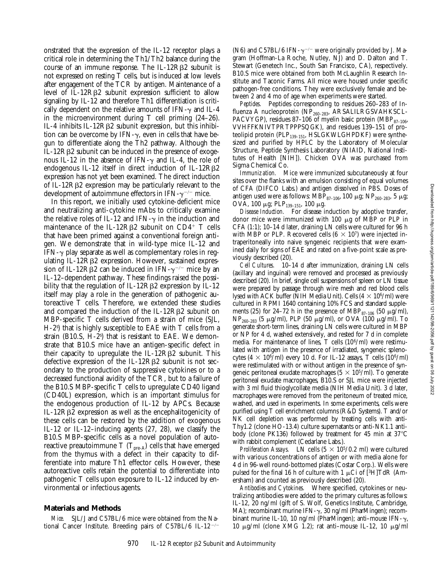onstrated that the expression of the IL-12 receptor plays a critical role in determining the Th1/Th2 balance during the course of an immune response. The IL-12RB2 subunit is not expressed on resting T cells, but is induced at low levels after engagement of the TCR by antigen. Maintenance of a level of IL-12R $\beta$ 2 subunit expression sufficient to allow signaling by IL-12 and therefore Th1 differentiation is critically dependent on the relative amounts of IFN- $\gamma$  and IL-4 in the microenvironment during T cell priming (24–26). IL-4 inhibits IL-12R $\beta$ 2 subunit expression, but this inhibition can be overcome by IFN- $\gamma$ , even in cells that have begun to differentiate along the Th2 pathway. Although the  $IL-12R\beta2$  subunit can be induced in the presence of exogenous IL-12 in the absence of IFN- $\gamma$  and IL-4, the role of endogenous IL-12 itself in direct induction of IL-12R $\beta$ 2 expression has not yet been examined. The direct induction of IL-12RB2 expression may be particularly relevant to the development of autoimmune effectors in IFN- $\gamma^{-/-}$  mice.

In this report, we initially used cytokine-deficient mice and neutralizing anti-cytokine mAbs to critically examine the relative roles of IL-12 and IFN- $\gamma$  in the induction and maintenance of the IL-12R $\beta$ 2 subunit on CD4<sup>+</sup> T cells that have been primed against a conventional foreign antigen. We demonstrate that in wild-type mice IL-12 and IFN- $\gamma$  play separate as well as complementary roles in regulating IL-12Rβ2 expression. However, sustained expression of IL-12R $\beta$ 2 can be induced in IFN- $\gamma^{-/-}$  mice by an IL-12–dependent pathway. These findings raised the possibility that the regulation of IL-12R $\beta$ 2 expression by IL-12 itself may play a role in the generation of pathogenic autoreactive T cells. Therefore, we extended these studies and compared the induction of the IL-12R $\beta$ 2 subunit on MBP-specific T cells derived from a strain of mice (SJL, H-2s ) that is highly susceptible to EAE with T cells from a strain (B10.S, H-2s ) that is resistant to EAE. We demonstrate that B10.S mice have an antigen-specific defect in their capacity to upregulate the IL-12R $\beta$ 2 subunit. This defective expression of the IL-12R $\beta$ 2 subunit is not secondary to the production of suppressive cytokines or to a decreased functional avidity of the TCR, but to a failure of the B10.S MBP-specific T cells to upregulate CD40 ligand (CD40L) expression, which is an important stimulus for the endogenous production of IL-12 by APCs. Because IL-12 $R\beta$ 2 expression as well as the encephalitogenicity of these cells can be restored by the addition of exogenous IL-12 or IL-12–inducing agents (27, 28), we classify the B10.S MBP-specific cells as a novel population of autoreactive preautoimmune T  $(T_{pre-A})$  cells that have emerged from the thymus with a defect in their capacity to differentiate into mature Th1 effector cells. However, these autoreactive cells retain the potential to differentiate into pathogenic T cells upon exposure to IL-12 induced by environmental or infectious agents.

#### **Materials and Methods**

*Mice.* SJL/J and C57BL/6 mice were obtained from the National Cancer Institute. Breeding pairs of C57BL/6 IL-12<sup>-/-</sup>

(N6) and C57BL/6 IFN- $\gamma$ <sup>-/-</sup> were originally provided by J. Magram (Hoffman-La Roche, Nutley, NJ) and D. Dalton and T. Stewart (Genetech Inc., South San Francisco, CA), respectively. B10.S mice were obtained from both McLaughlin Research Institute and Taconic Farms. All mice were housed under specific pathogen-free conditions. They were exclusively female and between 2 and 4 mo of age when experiments were started.

*Peptides.* Peptides corresponding to residues 260–283 of Influenza A nucleoprotein (NP<sub>260-283</sub>, ARSALILRGSVAHKSCL-PACVYGP), residues 87-106 of myelin basic protein (MBP $_{87-106}$ , VVHFFKNIVTPRTPPPSQGK), and residues 139–151 of proteolipid protein (PLP<sub>139-151</sub>, HSLGKWLGHPDKF) were synthesized and purified by HPLC by the Laboratory of Molecular Structure, Peptide Synthesis Laboratory (NIAID, National Institutes of Health [NIH]). Chicken OVA was purchased from Sigma Chemical Co.

*Immunization.* Mice were immunized subcutaneously at four sites over the flanks with an emulsion consisting of equal volumes of CFA (DIFCO Labs.) and antigen dissolved in PBS. Doses of antigen used were as follows: MBP<sub>87-106</sub>, 100  $\mu$ g; NP<sub>260-283</sub>, 5  $\mu$ g; OVA, 100  $\mu$ g; PLP<sub>139-151</sub>, 100  $\mu$ g.

*Disease Induction.* For disease induction by adoptive transfer, donor mice were immunized with 100  $\mu$ g of MBP or PLP in CFA (1:1); 10–14 d later, draining LN cells were cultured for 96 h with MBP or PLP. Recovered cells  $(6 \times 10^7)$  were injected intraperitoneally into naive syngeneic recipients that were examined daily for signs of EAE and rated on a five-point scale as previously described (20).

*Cell Cultures.* 10–14 d after immunization, draining LN cells (axillary and inguinal) were removed and processed as previously described (20). In brief, single cell suspensions of spleen or LN tissue were prepared by passage through wire mesh and red blood cells lysed with ACK buffer (NIH Media Unit). Cells  $(4 \times 10^6/\text{ml})$  were cultured in RPMI 1640 containing 10% FCS and standard supplements (25) for 24–72 h in the presence of MBP $_{87-106}$  (50  $\mu$ g/ml),  $NP_{260-283}$  (5  $\mu$ g/ml), PLP (50  $\mu$ g/ml), or OVA (100  $\mu$ g/ml). To generate short-term lines, draining LN cells were cultured in MBP or NP for 4 d, washed extensively, and rested for 7 d in complete media. For maintenance of lines, T cells  $(10^6/ml)$  were restimulated with antigen in the presence of irradiated, syngeneic splenocytes (4  $\times$  10<sup>6</sup>/ml) every 10 d. For IL-12 assays, T cells (10<sup>6</sup>/ml) were restimulated with or without antigen in the presence of syngeneic peritoneal exudate macrophages ( $5 \times 10^{5}/$ ml). To generate peritoneal exudate macrophages, B10.S or SJL mice were injected with 3 ml fluid thioglycollate media (NIH Media Unit). 3 d later, macrophages were removed from the peritoneum of treated mice, washed, and used in experiments. In some experiments, cells were purified using T cell enrichment columns (R&D Systems). T and/or NK cell depletion was performed by treating cells with anti-Thy1.2 (clone HO-13.4) culture supernatants or anti-NK1.1 antibody (clone PK136) followed by treatment for 45 min at  $37^{\circ}$ C with rabbit complement (Cedarlane Labs.).

*Proliferation Assays.* LN cells  $(5 \times 10^{5}/0.2 \text{ ml})$  were cultured with various concentrations of antigen or with media alone for 4 d in 96-well round-bottomed plates (Costar Corp.). Wells were pulsed for the final 16 h of culture with 1  $\mu$ Ci of [<sup>3</sup>H]TdR (Amersham) and counted as previously described (20).

*Antibodies and Cytokines.* Where specified, cytokines or neutralizing antibodies were added to the primary cultures as follows: IL-12, 20 ng/ml (gift of S. Wolf, Genetics Institute, Cambridge, MA); recombinant murine IFN-γ, 30 ng/ml (PharMingen); recombinant murine IL-10, 10 ng/ml (PharMingen); anti-mouse IFN- $\gamma$ , 10  $\mu$ g/ml (clone XMG 1.2); rat anti-mouse IL-12, 10  $\mu$ g/ml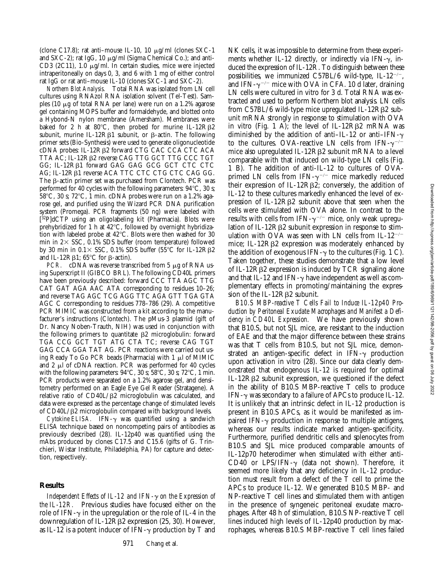(clone C17.8); rat anti-mouse IL-10, 10  $\mu$ g/ml (clones SXC-1) and SXC-2); rat IgG, 10  $\mu$ g/ml (Sigma Chemical Co.); and anti-CD3 (2C11), 1.0  $\mu$ g/ml. In certain studies, mice were injected intraperitoneally on days 0, 3, and 6 with 1 mg of either control rat IgG or rat anti–mouse IL-10 (clones SXC-1 and SXC-2).

*Northern Blot Analysis.* Total RNA was isolated from LN cell cultures using RNAzol RNA isolation solvent (Tel-Test). Samples (10  $\mu$ g of total RNA per lane) were run on a 1.2% agarose gel containing MOPS buffer and formaldehyde, and blotted onto a Hybond-N nylon membrane (Amersham). Membranes were baked for 2 h at  $80^{\circ}$ C, then probed for murine IL-12R $\beta$ 2 subunit, murine IL-12R $\beta$ 1 subunit, or  $\beta$ -actin. The following primer sets (Bio-Synthesis) were used to generate oligonucleotide cDNA probes: IL-12Rβ2 forward CTG CAC CCA CTC ACA TTA AC; IL-12Rb2 reverse CAG TTG GCT TTG CCC TGT GG; IL-12Rb1 forward GAG GAG GCG GCT CTC CTC AG; IL-12Rβ1 reverse ACA TTC CTC CTG CTC CAG GG. The  $\beta$ -actin primer set was purchased from Clontech. PCR was performed for 40 cycles with the following parameters:  $94^{\circ}$ C, 30 s;  $58^{\circ}$ C, 30 s;  $72^{\circ}$ C, 1 min. cDNA probes were run on a 1.2% agarose gel, and purified using the Wizard PCR DNA purification system (Promega). PCR fragments (50 ng) were labeled with [32P]dCTP using an oligolabeling kit (Pharmacia). Blots were prehybridized for 1 h at  $42^{\circ}$ C, followed by overnight hybridization with labeled probe at  $42^{\circ}$ C. Blots were then washed for 30 min in  $2 \times$  SSC, 0.1% SDS buffer (room temperature) followed by 30 min in  $0.1 \times$  SSC, 0.1% SDS buffer (55°C for IL-12R $\beta$ 2 and IL-12R $\beta$ 1; 65°C for  $\beta$ -actin).

*PCR.* cDNA was reverse transcribed from 5 µg of RNA using Superscript II (GIBCO BRL). The following CD40L primers have been previously described: forward CCC TTA AGC TTG CAT GAT AGA AAC ATA corresponding to residues 10–26; and reverse TAG AGC TCG AGG TTC AGA GTT TGA GTA AGC C corresponding to residues 778–786 (29). A competitive PCR MIMIC was constructed from a kit according to the manufacturer's instructions (Clontech). The pMus-3 plasmid (gift of Dr. Nancy Noben-Trauth, NIH) was used in conjunction with the following primers to quantitate  $\beta$ 2 microglobulin: forward TGA CCG GCT TGT ATG CTA TC; reverse CAG TGT GAG CCA GGA TAT AG. PCR reactions were carried out using Ready To Go PCR beads (Pharmacia) with  $1 \mu l$  of MIMIC and  $2 \mu$ l of cDNA reaction. PCR was performed for 40 cycles with the following parameters:  $94^{\circ}$ C, 30 s; 58 $^{\circ}$ C, 30 s; 72 $^{\circ}$ C, 1 min. PCR products were separated on a 1.2% agarose gel, and densitometry performed on an Eagle Eye Gel Reader (Stratagene). A relative ratio of CD40L/ $\beta$ 2 microglobulin was calculated, and data were expressed as the percentage change of stimulated levels of  $CD40L/\beta$ 2 microglobulin compared with background levels.

*Cytokine ELISA.* IFN-g was quantified using a sandwich ELISA technique based on noncompeting pairs of antibodies as previously described (28). IL-12p40 was quantified using the mAbs produced by clones C17.5 and C15.6 (gifts of G. Trinchieri, Wistar Institute, Philadelphia, PA) for capture and detection, respectively.

#### **Results**

*Independent Effects of IL-12 and IFN-*g *on the Expression of the IL-12R.* Previous studies have focused either on the role of IFN- $\gamma$  in the upregulation or the role of IL-4 in the downregulation of IL-12Rβ2 expression (25, 30). However, as IL-12 is a potent inducer of IFN- $\gamma$  production by T and

NK cells, it was impossible to determine from these experiments whether IL-12 directly, or indirectly via IFN- $\gamma$ , induced the expression of IL-12R. To distinguish between these possibilities, we immunized C57BL/6 wild-type, IL-12<sup>-/-</sup>, and IFN- $\gamma$ <sup>-/-</sup> mice with OVA in CFA. 10 d later, draining LN cells were cultured in vitro for 3 d. Total RNA was extracted and used to perform Northern blot analysis. LN cells from C57BL/6 wild-type mice upregulated IL-12Rb2 subunit mRNA strongly in response to stimulation with OVA in vitro (Fig. 1 A); the level of IL-12R $\beta$ 2 mRNA was diminished by the addition of anti–IL-12 or anti–IFN- $\gamma$ to the cultures. OVA-reactive LN cells from IFN- $\gamma^{-/-}$ mice also upregulated IL-12R $\beta$ 2 subunit mRNA to a level comparable with that induced on wild-type LN cells (Fig. 1 B). The addition of anti-IL-12 to cultures of OVAprimed LN cells from IFN- $\gamma$ <sup>-/-</sup> mice markedly reduced their expression of IL-12R $\beta$ 2; conversely, the addition of IL-12 to these cultures markedly enhanced the level of expression of IL-12R $\beta$ 2 subunit above that seen when the cells were stimulated with OVA alone. In contrast to the results with cells from IFN- $\gamma^{-/-}$  mice, only weak upregulation of IL-12R $\beta$ 2 subunit expression in response to stimulation with OVA was seen with LN cells from IL- $12^{-/-}$ mice; IL-12Rβ2 expression was moderately enhanced by the addition of exogenous IFN- $\gamma$  to the cultures (Fig. 1 C). Taken together, these studies demonstrate that a low level of IL-12 $R\beta$ 2 expression is induced by TCR signaling alone and that IL-12 and IFN- $\gamma$  have independent as well as complementary effects in promoting/maintaining the expression of the IL-12 $R\beta$ 2 subunit.

*B10.S MBP-reactive T Cells Fail to Induce IL-12p40 Production by Peritoneal Exudate Macrophages and Manifest a Deficiency in CD40L Expression.* We have previously shown that B10.S, but not SJL mice, are resistant to the induction of EAE and that the major difference between these strains was that T cells from B10.S, but not SJL mice, demonstrated an antigen-specific defect in IFN- $\gamma$  production upon activation in vitro (28). Since our data clearly demonstrated that endogenous IL-12 is required for optimal IL-12Rb2 subunit expression, we questioned if the defect in the ability of B10.S MBP-reactive T cells to produce IFN- $\gamma$  was secondary to a failure of APCs to produce IL-12. It is unlikely that an intrinsic defect in IL-12 production is present in B10.S APCs, as it would be manifested as impaired IFN- $\gamma$  production in response to multiple antigens, whereas our results indicate marked antigen-specificity. Furthermore, purified dendritic cells and splenocytes from B10.S and SJL mice produced comparable amounts of IL-12p70 heterodimer when stimulated with either anti-CD40 or LPS/IFN- $\gamma$  (data not shown). Therefore, it seemed more likely that any deficiency in IL-12 production must result from a defect of the T cell to prime the APCs to produce IL-12. We generated B10.S MBP- and NP-reactive T cell lines and stimulated them with antigen in the presence of syngeneic peritoneal exudate macrophages. After 48 h of stimulation, B10.S NP-reactive T cell lines induced high levels of IL-12p40 production by macrophages, whereas B10.S MBP-reactive T cell lines failed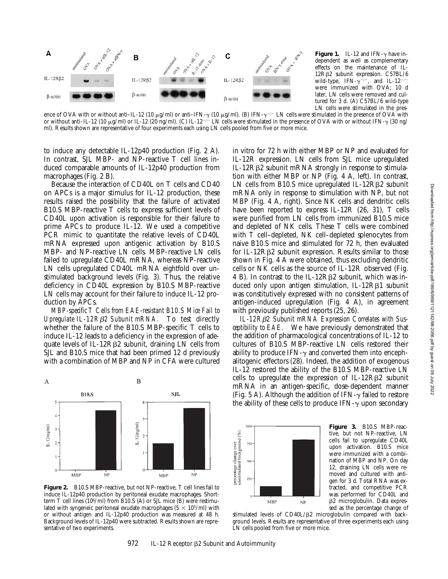

**Figure 1.** IL-12 and IFN- $\gamma$  have independent as well as complementary effects on the maintenance of IL-12Rβ2 subunit expression. C57BL/6 wild-type, IFN- $\gamma^{-/-}$ , and IL-12<sup>-/</sup> were immunized with OVA; 10 d later, LN cells were removed and cultured for 3 d. (A) C57BL/6 wild-type LN cells were stimulated in the pres-

ence of OVA with or without anti–IL-12 (10  $\mu$ g/ml) or anti–IFN- $\gamma$  (10  $\mu$ g/ml). (B) IFN- $\gamma^{-/-}$  LN cells were stimulated in the presence of OVA with or without anti–IL-12 (10  $\mu$ g/ml) or IL-12 (20 ng/ml). (C) IL-12<sup>-/-</sup> LN cells were stimulated in the presence of OVA with or without IFN- $\gamma$  (30 ng/ ml). Results shown are representative of four experiments each using LN cells pooled from five or more mice.

to induce any detectable IL-12p40 production (Fig. 2 A). In contrast, SJL MBP- and NP-reactive T cell lines induced comparable amounts of IL-12p40 production from macrophages (Fig. 2 B).

Because the interaction of CD40L on T cells and CD40 on APCs is a major stimulus for IL-12 production, these results raised the possibility that the failure of activated B10.S MBP-reactive T cells to express sufficient levels of CD40L upon activation is responsible for their failure to prime APCs to produce IL-12. We used a competitive PCR mimic to quantitate the relative levels of CD40L mRNA expressed upon antigenic activation by B10.S MBP- and NP-reactive LN cells. MBP-reactive LN cells failed to upregulate CD40L mRNA, whereas NP-reactive LN cells upregulated CD40L mRNA eightfold over unstimulated background levels (Fig. 3). Thus, the relative deficiency in CD40L expression by B10.S MBP-reactive LN cells may account for their failure to induce IL-12 production by APCs.

*MBP-specific T Cells from EAE-resistant B10.S Mice Fail to Upregulate IL-12R*b*2 Subunit mRNA.* To test directly whether the failure of the B10.S MBP-specific T cells to induce IL-12 leads to a deficiency in the expression of adequate levels of IL-12R $\beta$ 2 subunit, draining LN cells from SJL and B10.S mice that had been primed 12 d previously with a combination of MBP and NP in CFA were cultured



**Figure 2.** B10.S MBP-reactive, but not NP-reactive, T cell lines fail to induce IL-12p40 production by peritoneal exudate macrophages. Shortterm T cell lines  $(10^6/\text{ml})$  from B10.S (A) or SJL mice (B) were restimulated with syngeneic peritoneal exudate macrophages ( $5 \times 10^{5}$ /ml) with or without antigen and IL-12p40 production was measured at 48 h. Background levels of IL-12p40 were subtracted. Results shown are representative of two experiments.

in vitro for 72 h with either MBP or NP and evaluated for IL-12R expression. LN cells from SJL mice upregulated IL-12R $\beta$ 2 subunit mRNA strongly in response to stimulation with either MBP or NP (Fig. 4 A, left). In contrast, LN cells from B10.S mice upregulated IL-12R $\beta$ 2 subunit mRNA only in response to stimulation with NP, but not MBP (Fig. 4 A, right). Since NK cells and dendritic cells have been reported to express IL-12R (26, 31), T cells were purified from LN cells from immunized B10.S mice and depleted of NK cells. These T cells were combined with T cell–depleted, NK cell–depleted splenocytes from naive B10.S mice and stimulated for 72 h, then evaluated for IL-12 $R\beta$ 2 subunit expression. Results similar to those shown in Fig. 4 A were obtained, thus excluding dendritic cells or NK cells as the source of IL-12R observed (Fig. 4 B). In contrast to the IL-12R $\beta$ 2 subunit, which was induced only upon antigen stimulation,  $IL-12R\beta1$  subunit was constitutively expressed with no consistent patterns of antigen-induced upregulation (Fig. 4 A), in agreement with previously published reports (25, 26).

*IL-12R*b*2 Subunit mRNA Expression Correlates with Susceptibility to EAE.* We have previously demonstrated that the addition of pharmacological concentrations of IL-12 to cultures of B10.S MBP-reactive LN cells restored their ability to produce IFN- $\gamma$  and converted them into encephalitogenic effectors (28). Indeed, the addition of exogenous IL-12 restored the ability of the B10.S MBP-reactive LN cells to upregulate the expression of IL-12R $\beta$ 2 subunit mRNA in an antigen-specific, dose-dependent manner (Fig. 5 A). Although the addition of IFN- $\gamma$  failed to restore the ability of these cells to produce  $IFN-\gamma$  upon secondary



**Figure 3.** B10.S MBP-reactive, but not NP-reactive, LN cells fail to upregulate CD40L upon activation. B10.S mice were immunized with a combination of MBP and NP. On day 12, draining LN cells were removed and cultured with antigen for 3 d. Total RNA was extracted, and competitive PCR was performed for CD40L and b2 microglobulin. Data expressed as the percentage change of

stimulated levels of CD40L/ß2 microglobulin compared with background levels. Results are representative of three experiments each using LN cells pooled from five or more mice.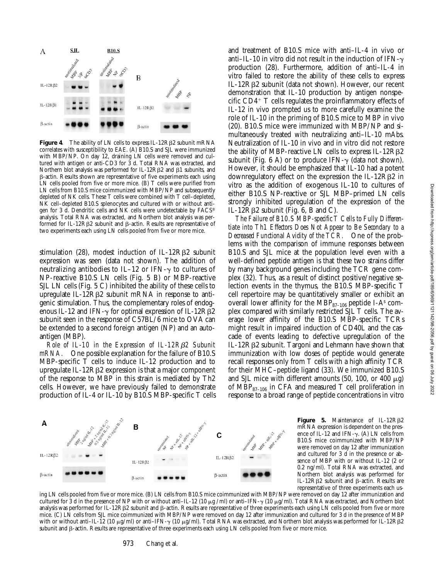

**Figure 4.** The ability of LN cells to express IL-12RB2 subunit mRNA correlates with susceptibility to EAE. (A) B10.S and SJL were immunized with MBP/NP. On day 12, draining LN cells were removed and cultured with antigen or anti-CD3 for 3 d. Total RNA was extracted, and Northern blot analysis was performed for IL-12R $\beta$ 2 and  $\beta$ 1 subunits, and b-actin. Results shown are representative of five experiments each using LN cells pooled from five or more mice. (B) T cells were purified from LN cells from B10.S mice coimmunized with MBP/NP and subsequently depleted of NK cells. These T cells were combined with T cell–depleted, NK cell-depleted B10.S splenocytes and cultured with or without antigen for 3 d. Dendritic cells and NK cells were undetectable by FACS® analysis. Total RNA was extracted, and Northern blot analysis was performed for IL-12RB2 subunit and B-actin. Results are representative of two experiments each using LN cells pooled from five or more mice.

stimulation (28), modest induction of IL-12R $\beta$ 2 subunit expression was seen (data not shown). The addition of neutralizing antibodies to IL-12 or IFN- $\gamma$  to cultures of NP-reactive B10.S LN cells (Fig. 5 B) or MBP-reactive SJL LN cells (Fig. 5 C) inhibited the ability of these cells to upregulate IL-12R $\beta$ 2 subunit mRNA in response to antigenic stimulation. Thus, the complementary roles of endogenous IL-12 and IFN- $\gamma$  for optimal expression of IL-12R $\beta$ 2 subunit seen in the response of C57BL/6 mice to OVA can be extended to a second foreign antigen (NP) and an autoantigen (MBP).

*Role of IL-10 in the Expression of IL-12R*b*2 Subunit mRNA.* One possible explanation for the failure of B10.S MBP-specific T cells to induce IL-12 production and to upregulate IL-12Rb2 expression is that a major component of the response to MBP in this strain is mediated by Th2 cells. However, we have previously failed to demonstrate production of IL-4 or IL-10 by B10.S MBP-specific T cells

and treatment of B10.S mice with anti–IL-4 in vivo or anti–IL-10 in vitro did not result in the induction of IFN- $\gamma$ production (28). Furthermore, addition of anti–IL-4 in vitro failed to restore the ability of these cells to express IL-12Rb2 subunit (data not shown). However, our recent demonstration that IL-10 production by antigen nonspecific  $CD4+T$  cells regulates the proinflammatory effects of IL-12 in vivo prompted us to more carefully examine the role of IL-10 in the priming of B10.S mice to MBP in vivo (20). B10.S mice were immunized with MBP/NP and simultaneously treated with neutralizing anti–IL-10 mAbs. Neutralization of IL-10 in vivo and in vitro did not restore the ability of MBP-reactive LN cells to express  $IL-12R\beta2$ subunit (Fig. 6 A) or to produce IFN- $\gamma$  (data not shown). However, it should be emphasized that IL-10 had a potent downregulatory effect on the expression the IL-12R $\beta$ 2 in vitro as the addition of exogenous IL-10 to cultures of either B10.S NP-reactive or SJL MBP–primed LN cells strongly inhibited upregulation of the expression of the IL-12 $R\beta$ 2 subunit (Fig. 6, B and C).

*The Failure of B10.S MBP-specific T Cells to Fully Differentiate into Th1 Effectors Does Not Appear to Be Secondary to a Decreased Functional Avidity of the TCR.* One of the problems with the comparison of immune responses between B10.S and SJL mice at the population level even with a well-defined peptide antigen is that these two strains differ by many background genes including the TCR gene complex (32). Thus, as a result of distinct positive/negative selection events in the thymus, the B10.S MBP-specific T cell repertoire may be quantitatively smaller or exhibit an overall lower affinity for the  $\rm{MBP_{87-106}}$  peptide I-As complex compared with similarly restricted SJL T cells. The average lower affinity of the B10.S MBP-specific TCRs might result in impaired induction of CD40L and the cascade of events leading to defective upregulation of the IL-12Rb2 subunit. Targoni and Lehmann have shown that immunization with low doses of peptide would generate recall responses only from T cells with a high affinity TCR for their MHC–peptide ligand (33). We immunized B10.S and SJL mice with different amounts (50, 100, or 400  $\mu$ g) of MBP $_{87-106}$  in CFA and measured T cell proliferation in response to a broad range of peptide concentrations in vitro



**Figure 5.** Maintenance of IL-12RB2 mRNA expression is dependent on the presence of IL-12 and IFN- $\gamma$ . (A) LN cells from B10.S mice coimmunized with MBP/NP were removed on day 12 after immunization and cultured for  $3$  d in the presence or absence of MBP with or without IL-12 (2 or 0.2 ng/ml). Total RNA was extracted, and Northern blot analysis was performed for IL-12Rb2 subunit and b-actin. Results are representative of three experiments each us-

ing LN cells pooled from five or more mice. (B) LN cells from B10.S mice coimmunized with MBP/NP were removed on day 12 after immunization and cultured for 3 d in the presence of NP with or without anti–IL-12 (10  $\mu$ g/ml) or anti–IFN- $\gamma$  (10  $\mu$ g/ml). Total RNA was extracted, and Northern blot analysis was performed for IL-12RB2 subunit and  $\beta$ -actin. Results are representative of three experiments each using LN cells pooled from five or more mice. (C) LN cells from SJL mice coimmunized with MBP/NP were removed on day 12 after immunization and cultured for 3 d in the presence of MBP with or without anti–IL-12 (10 μg/ml) or anti–IFN-γ (10 μg/ml). Total RNA was extracted, and Northern blot analysis was performed for IL-12Rβ2 subunit and  $\beta$ -actin. Results are representative of three experiments each using LN cells pooled from five or more mice.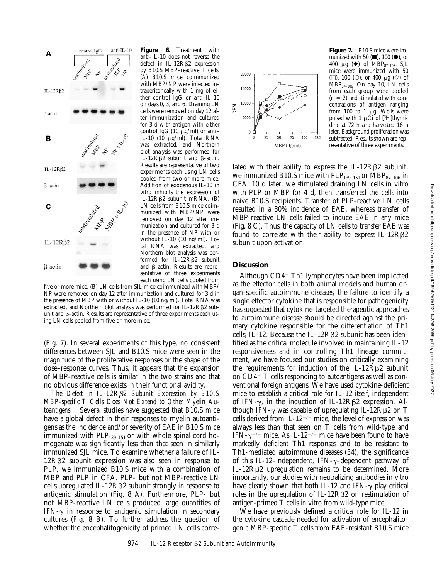

**Figure 6.** Treatment with anti–IL-10 does not reverse the defect in IL-12R<sub>B2</sub> expression by B10.S MBP–reactive T cells. (A) B10.S mice coimmunized with MBP/NP were injected intraperitoneally with 1 mg of either control IgG or anti–IL-10 on days 0, 3, and 6. Draining LN cells were removed on day 12 after immunization and cultured for 3 d with antigen with either control IgG (10  $\mu$ g/ml) or anti-IL-10 (10 mg/ml). Total RNA was extracted, and Northern blot analysis was performed for IL-12R $\beta$ 2 subunit and  $\beta$ -actin. Results are representative of two experiments each using LN cells pooled from two or more mice. Addition of exogenous IL-10 in vitro inhibits the expression of IL-12Rb2 subunit mRNA. (B) LN cells from B10.S mice coimmunized with MBP/NP were removed on day 12 after immunization and cultured for 3 d in the presence of NP with or without IL-10 (10 ng/ml). Total RNA was extracted, and Northern blot analysis was performed for IL-12 $R\beta$ 2 subunit and  $\beta$ -actin. Results are representative of three experiments each using LN cells pooled from

five or more mice. (B) LN cells from SJL mice coimmunized with MBP/ NP were removed on day 12 after immunization and cultured for 3 d in the presence of MBP with or without IL-10 (10 ng/ml). Total RNA was extracted, and Northern blot analysis was performed for IL-12R $\beta$ 2 subunit and  $\beta$ -actin. Results are representative of three experiments each using LN cells pooled from five or more mice.

(Fig. 7). In several experiments of this type, no consistent differences between SJL and B10.S mice were seen in the magnitude of the proliferative responses or the shape of the dose–response curves. Thus, it appears that the expansion of MBP-reactive cells is similar in the two strains and that no obvious difference exists in their functional avidity.

*The Defect in IL-12R*b*2 Subunit Expression by B10.S MBP-specific T Cells Does Not Extend to Other Myelin Autoantigens.* Several studies have suggested that B10.S mice have a global defect in their responses to myelin autoantigens as the incidence and/or severity of EAE in B10.S mice immunized with  $PLP_{139-151}$  or with whole spinal cord homogenate was significantly less than that seen in similarly immunized SJL mice. To examine whether a failure of IL- $12R\beta2$  subunit expression was also seen in response to PLP, we immunized B10.S mice with a combination of MBP and PLP in CFA. PLP- but not MBP-reactive LN cells upregulated IL-12R $\beta$ 2 subunit strongly in response to antigenic stimulation (Fig. 8 A). Furthermore, PLP- but not MBP-reactive LN cells produced large quantities of IFN- $\gamma$  in response to antigenic stimulation in secondary cultures (Fig. 8 B). To further address the question of whether the encephalitogenicity of primed LN cells corre-



**Figure 7.** B10.S mice were immunized with 50  $($ , 100  $($ <sup>o</sup> $)$ , or 400  $\mu$ g ( $\blacklozenge$ ) of MBP<sub>87-106</sub>. SJL mice were immunized with 50  $\Box$ ), 100  $\Box$ ), or 400  $\mu$ g  $\Diamond$ ) of  $MBP_{87-106}$ . On day 10, LN cells from each group were pooled  $(n = 2)$  and stimulated with concentrations of antigen ranging from 100 to 1  $\mu$ g. Wells were pulsed with 1  $\mu$ Ci of [<sup>3</sup>H]thymidine at 72 h and harvested 16 h later. Background proliferation was subtracted. Results shown are representative of three experiments.

lated with their ability to express the IL-12R $\beta$ 2 subunit, we immunized B10.S mice with  ${\rm PLP_{139-151}}$  or  ${\rm MBP_{87-106}}$  in CFA. 10 d later, we stimulated draining LN cells in vitro with PLP or MBP for 4 d, then transferred the cells into naive B10.S recipients. Transfer of PLP-reactive LN cells resulted in a 30% incidence of EAE, whereas transfer of MBP-reactive LN cells failed to induce EAE in any mice (Fig. 8 C). Thus, the capacity of LN cells to transfer EAE was found to correlate with their ability to express  $IL-12R\beta2$ subunit upon activation.

## **Discussion**

Although  $CD4+Th1$  lymphocytes have been implicated as the effector cells in both animal models and human organ-specific autoimmune diseases, the failure to identify a single effector cytokine that is responsible for pathogenicity has suggested that cytokine-targeted therapeutic approaches to autoimmune disease should be directed against the primary cytokine responsible for the differentiation of Th1 cells, IL-12. Because the IL-12RB2 subunit has been identified as the critical molecule involved in maintaining IL-12 responsiveness and in controlling Th1 lineage commitment, we have focused our studies on critically examining the requirements for induction of the IL-12R $\beta$ 2 subunit on  $CD4^+$  T cells responding to autoantigens as well as conventional foreign antigens. We have used cytokine-deficient mice to establish a critical role for IL-12 itself, independent of IFN- $\gamma$ , in the induction of IL-12R $\beta$ 2 expression. Although IFN- $\gamma$  was capable of upregulating IL-12R $\beta$ 2 on T cells derived from IL-12<sup>-/-</sup> mice, the level of expression was always less than that seen on T cells from wild-type and IFN- $\gamma$ <sup>-/-</sup> mice. As IL-12<sup>-/-</sup> mice have been found to have markedly deficient Th1 responses and to be resistant to Th1-mediated autoimmune diseases (34), the significance of this IL-12-independent, IFN- $\gamma$ -dependent pathway of IL-12Rb2 upregulation remains to be determined. More importantly, our studies with neutralizing antibodies in vitro have clearly shown that both IL-12 and IFN- $\gamma$  play critical roles in the upregulation of IL-12R $\beta$ 2 on restimulation of antigen-primed T cells in vitro from wild-type mice.

We have previously defined a critical role for IL-12 in the cytokine cascade needed for activation of encephalitogenic MBP-specific T cells from EAE-resistant B10.S mice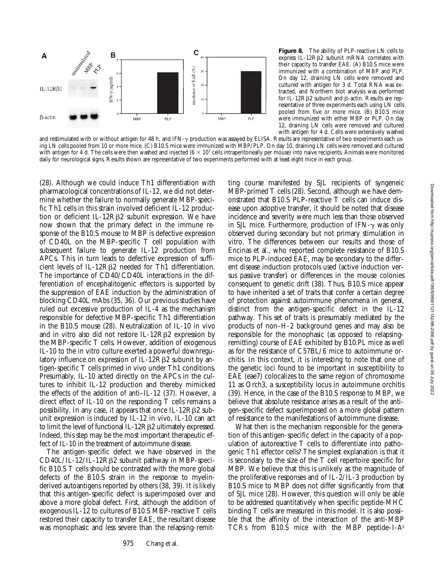

**Figure 8.** The ability of PLP-reactive LN cells to express IL-12R<sub>B2</sub> subunit mRNA correlates with their capacity to transfer EAE. (A) B10.S mice were immunized with a combination of MBP and PLP. On day 12, draining LN cells were removed and cultured with antigen for 3 d. Total RNA was extracted, and Northern blot analysis was performed for IL-12R $\beta$ 2 subunit and  $\beta$ -actin. Results are representative of three experiments each using LN cells pooled from five or more mice. (B) B10.S mice were immunized with either MBP or PLP. On day 12, draining LN cells were removed and cultured with antigen for 4 d. Cells were extensively washed

and restimulated with or without antigen for 48 h, and IFN-y production was assayed by ELISA. Results are representative of two experiments each using LN cells pooled from 10 or more mice. (C) B10.S mice were immunized with MBP/PLP. On day 10, draining LN cells were removed and cultured with antigen for 4 d. The cells were then washed and injected  $(6 \times 10^7 \text{ cells intraperitoneally per mouse})$  into naive recipients. Animals were monitored daily for neurological signs. Results shown are representative of two experiments performed with at least eight mice in each group.

(28). Although we could induce Th1 differentiation with pharmacological concentrations of IL-12, we did not determine whether the failure to normally generate MBP-specific Th1 cells in this strain involved deficient IL-12 production or deficient IL-12R $\beta$ 2 subunit expression. We have now shown that the primary defect in the immune response of the B10.S mouse to MBP is defective expression of CD40L on the MBP-specific T cell population with subsequent failure to generate IL-12 production from APCs. This in turn leads to defective expression of sufficient levels of IL-12R<sub>B</sub>2 needed for Th1 differentiation. The importance of CD40/CD40L interactions in the differentiation of encephalitogenic effectors is supported by the suppression of EAE induction by the administration of blocking CD40L mAbs (35, 36). Our previous studies have ruled out excessive production of IL-4 as the mechanism responsible for defective MBP-specific Th1 differentiation in the B10.S mouse (28). Neutralization of IL-10 in vivo and in vitro also did not restore IL-12R $\beta$ 2 expression by the MBP-specific T cells. However, addition of exogenous IL-10 to the in vitro culture exerted a powerful downregulatory influence on expression of IL-12R $\beta$ 2 subunit by antigen-specific T cells primed in vivo under Th1 conditions. Presumably, IL-10 acted directly on the APCs in the cultures to inhibit IL-12 production and thereby mimicked the effects of the addition of anti–IL-12 (37). However, a direct effect of IL-10 on the responding T cells remains a possibility. In any case, it appears that once IL-12RB2 subunit expression is induced by IL-12 in vivo, IL-10 can act to limit the level of functional IL-12RB2 ultimately expressed. Indeed, this step may be the most important therapeutic effect of IL-10 in the treatment of autoimmune disease.

A

IL-12R $\beta$ 2

β-actin

The antigen-specific defect we have observed in the  $CD40L/IL-12/IL-12R\beta2$  subunit pathway in MBP-specific B10.S T cells should be contrasted with the more global defects of the B10.S strain in the response to myelinderived autoantigens reported by others (38, 39). It is likely that this antigen-specific defect is superimposed over and above a more global defect. First, although the addition of exogenous IL-12 to cultures of B10.S MBP-reactive T cells restored their capacity to transfer EAE, the resultant disease was monophasic and less severe than the relapsing-remit-

ting course manifested by SJL recipients of syngeneic MBP-primed T cells (28). Second, although we have demonstrated that B10.S PLP-reactive T cells can induce disease upon adoptive transfer, it should be noted that disease incidence and severity were much less than those observed in SJL mice. Furthermore, production of IFN- $\gamma$  was only observed during secondary but not primary stimulation in vitro. The differences between our results and those of Encinas et al., who reported complete resistance of B10.S mice to PLP-induced EAE, may be secondary to the different disease induction protocols used (active induction versus passive transfer) or differences in the mouse colonies consequent to genetic drift (38). Thus, B10.S mice appear to have inherited a set of traits that confer a certain degree of protection against autoimmune phenomena in general, distinct from the antigen-specific defect in the IL-12 pathway. This set of traits is presumably mediated by the products of non–H-2 background genes and may also be responsible for the monophasic (as opposed to relapsingremitting) course of EAE exhibited by B10.PL mice as well as for the resistance of C57BL/6 mice to autoimmune orchitis. In this context, it is interesting to note that one of the genetic loci found to be important in susceptibility to EAE (eae7) colocalizes to the same region of chromosome 11 as Orch3, a susceptibility locus in autoimmune orchitis (39). Hence, in the case of the B10.S response to MBP, we believe that absolute resistance arises as a result of the antigen-specific defect superimposed on a more global pattern of resistance to the manifestations of autoimmune disease.

What then is the mechanism responsible for the generation of this antigen-specific defect in the capacity of a population of autoreactive T cells to differentiate into pathogenic Th1 effector cells? The simplest explanation is that it is secondary to the size of the T cell repertoire specific for MBP. We believe that this is unlikely as the magnitude of the proliferative responses and of IL-2/IL-3 production by B10.S mice to MBP does not differ significantly from that of SJL mice (28). However, this question will only be able to be addressed quantitatively when specific peptide-MHC binding T cells are measured in this model. It is also possible that the affinity of the interaction of the anti-MBP TCRs from B10.S mice with the MBP peptide–I-As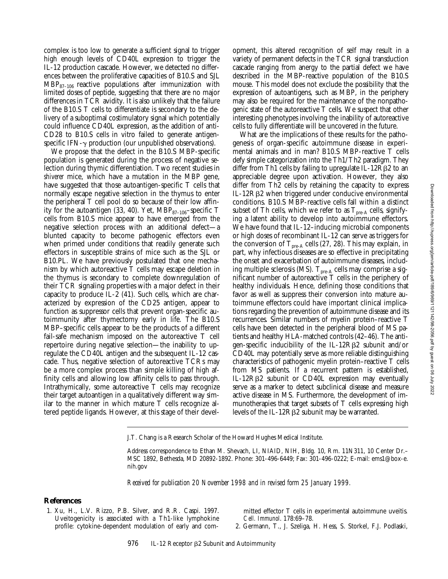complex is too low to generate a sufficient signal to trigger high enough levels of CD40L expression to trigger the IL-12 production cascade. However, we detected no differences between the proliferative capacities of B10.S and SJL  $MBP_{87-106}$  reactive populations after immunization with limited doses of peptide, suggesting that there are no major differences in TCR avidity. It is also unlikely that the failure of the B10.S T cells to differentiate is secondary to the delivery of a suboptimal costimulatory signal which potentially could influence CD40L expression, as the addition of anti-CD28 to B10.S cells in vitro failed to generate antigenspecific IFN- $\gamma$  production (our unpublished observations).

We propose that the defect in the B10.S MBP-specific population is generated during the process of negative selection during thymic differentiation. Two recent studies in *shiverer* mice, which have a mutation in the MBP gene, have suggested that those autoantigen-specific T cells that normally escape negative selection in the thymus to enter the peripheral T cell pool do so because of their low affinity for the autoantigen (33, 40). Yet,  $MBP_{87-106}$ -specific T cells from B10.S mice appear to have emerged from the negative selection process with an additional defect—a blunted capacity to become pathogenic effectors even when primed under conditions that readily generate such effectors in susceptible strains of mice such as the SJL or B10.PL. We have previously postulated that one mechanism by which autoreactive T cells may escape deletion in the thymus is secondary to complete downregulation of their TCR signaling properties with a major defect in their capacity to produce IL-2 (41). Such cells, which are characterized by expression of the CD25 antigen, appear to function as suppressor cells that prevent organ-specific autoimmunity after thymectomy early in life. The B10.S MBP–specific cells appear to be the products of a different fail-safe mechanism imposed on the autoreactive T cell repertoire during negative selection—the inability to upregulate the CD40L antigen and the subsequent IL-12 cascade. Thus, negative selection of autoreactive TCRs may be a more complex process than simple killing of high affinity cells and allowing low affinity cells to pass through. Intrathymically, some autoreactive T cells may recognize their target autoantigen in a qualitatively different way similar to the manner in which mature T cells recognize altered peptide ligands. However, at this stage of their development, this altered recognition of self may result in a variety of permanent defects in the TCR signal transduction cascade ranging from anergy to the partial defect we have described in the MBP-reactive population of the B10.S mouse. This model does not exclude the possibility that the expression of autoantigens, such as MBP, in the periphery may also be required for the maintenance of the nonpathogenic state of the autoreactive T cells. We suspect that other interesting phenotypes involving the inability of autoreactive cells to fully differentiate will be uncovered in the future.

What are the implications of these results for the pathogenesis of organ-specific autoimmune disease in experimental animals and in man? B10.S MBP-reactive T cells defy simple categorization into the Th1/Th2 paradigm. They differ from Th1 cells by failing to upregulate IL-12R $\beta$ 2 to an appreciable degree upon activation. However, they also differ from Th2 cells by retaining the capacity to express IL-12Rb2 when triggered under conducive environmental conditions. B10.S MBP-reactive cells fall within a distinct subset of Th cells, which we refer to as  $T_{pre-A}$  cells, signifying a latent ability to develop into autoimmune effectors. We have found that IL-12–inducing microbial components or high doses of recombinant IL-12 can serve as triggers for the conversion of  $T_{pre-A}$  cells (27, 28). This may explain, in part, why infectious diseases are so effective in precipitating the onset and exacerbation of autoimmune diseases, including multiple sclerosis (MS).  $\rm T_{pre\text{-}A}$  cells may comprise a significant number of autoreactive T cells in the periphery of healthy individuals. Hence, defining those conditions that favor as well as suppress their conversion into mature autoimmune effectors could have important clinical implications regarding the prevention of autoimmune disease and its recurrences. Similar numbers of myelin protein–reactive T cells have been detected in the peripheral blood of MS patients and healthy HLA-matched controls (42–46). The antigen-specific inducibility of the IL-12R $\beta$ 2 subunit and/or CD40L may potentially serve as more reliable distinguishing characteristics of pathogenic myelin protein–reactive T cells from MS patients. If a recurrent pattern is established, IL-12Rβ2 subunit or CD40L expression may eventually serve as a marker to detect subclinical disease and measure active disease in MS. Furthermore, the development of immunotherapies that target subsets of T cells expressing high levels of the IL-12R $\beta$ 2 subunit may be warranted.

*Received for publication 20 November 1998 and in revised form 25 January 1999.*

### **References**

1. Xu, H., L.V. Rizzo, P.B. Silver, and R.R. Caspi. 1997. Uveitogenicity is associated with a Th1-like lymphokine profile: cytokine-dependent modulation of early and committed effector T cells in experimental autoimmune uveitis. *Cell. Immunol*. 178:69–78.

2. Germann, T., J. Szeliga, H. Hess, S. Storkel, F.J. Podlaski,

J.T. Chang is a Research Scholar of the Howard Hughes Medical Institute.

Address correspondence to Ethan M. Shevach, LI, NIAID, NIH, Bldg. 10, Rm. 11N311, 10 Center Dr.– MSC 1892, Bethesda, MD 20892-1892. Phone: 301-496-6449; Fax: 301-496-0222; E-mail: ems1@box-e. nih.gov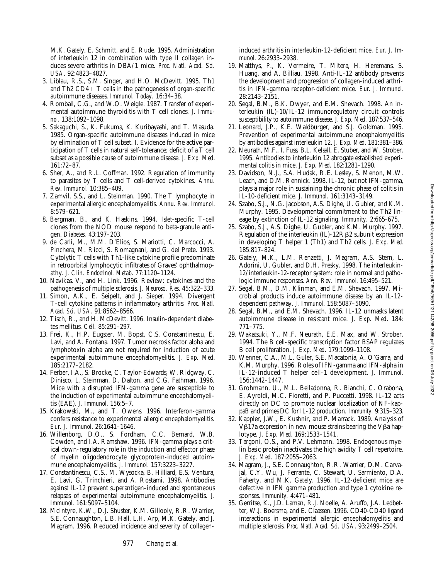M.K. Gately, E. Schmitt, and E. Rude. 1995. Administration of interleukin 12 in combination with type II collagen induces severe arthritis in DBA/1 mice. *Proc. Natl. Acad. Sci. USA*. 92:4823–4827.

- 3. Liblau, R.S., S.M. Singer, and H.O. McDevitt. 1995. Th1 and Th2  $CD4+T$  cells in the pathogenesis of organ-specific autoimmune diseases. *Immunol. Today.* 16:34–38.
- 4. Romball, C.G., and W.O. Weigle. 1987. Transfer of experimental autoimmune thyroiditis with T cell clones. *J. Immunol*. 138:1092–1098.
- 5. Sakaguchi, S., K. Fukuma, K. Kuribayashi, and T. Masuda. 1985. Organ-specific autoimmune diseases induced in mice by elimination of T cell subset. I. Evidence for the active participation of T cells in natural self-tolerance; deficit of a T cell subset as a possible cause of autoimmune disease. *J. Exp. Med*. 161:72–87.
- 6. Sher, A., and R.L. Coffman. 1992. Regulation of immunity to parasites by T cells and T cell-derived cytokines. *Annu. Rev. Immunol*. 10:385–409.
- 7. Zamvil, S.S., and L. Steinman. 1990. The T lymphocyte in experimental allergic encephalomyelitis. *Annu. Rev. Immunol*. 8:579–621.
- 8. Bergman, B., and K. Haskins. 1994. Islet-specific T-cell clones from the NOD mouse respond to beta-granule antigen. *Diabetes.* 43:197–203.
- 9. de Carli, M., M.M. D'Elios, S. Mariotti, C. Marcocci, A. Pinchera, M. Ricci, S. Romagnani, and G. del Prete. 1993. Cytolytic T cells with Th1-like cytokine profile predominate in retroorbital lymphocytic infiltrates of Graves' ophthalmopathy. *J. Clin. Endocrinol. Metab*. 77:1120–1124.
- 10. Navikas, V., and H. Link. 1996. Review: cytokines and the pathogenesis of multiple sclerosis. *J. Neurosci. Res*. 45:322–333.
- 11. Simon, A.K., E. Seipelt, and J. Sieper. 1994. Divergent T-cell cytokine patterns in inflammatory arthritis. *Proc. Natl. Acad. Sci. USA*. 91:8562–8566.
- 12. Tisch, R., and H. McDevitt. 1996. Insulin-dependent diabetes mellitus. *Cell.* 85:291–297.
- 13. Frei, K., H.P. Eugster, M. Bopst, C.S. Constantinescu, E. Lavi, and A. Fontana. 1997. Tumor necrosis factor alpha and lymphotoxin alpha are not required for induction of acute experimental autoimmune encephalomyelitis. *J. Exp. Med*. 185:2177–2182.
- 14. Ferber, I.A., S. Brocke, C. Taylor-Edwards, W. Ridgway, C. Dinisco, L. Steinman, D. Dalton, and C.G. Fathman. 1996. Mice with a disrupted IFN-gamma gene are susceptible to the induction of experimental autoimmune encephalomyelitis (EAE). *J. Immunol*. 156:5–7.
- 15. Krakowski, M., and T. Owens. 1996. Interferon-gamma confers resistance to experimental allergic encephalomyelitis. *Eur. J. Immunol*. 26:1641–1646.
- 16. Willenborg, D.O., S. Fordham, C.C. Bernard, W.B. Cowden, and I.A. Ramshaw. 1996. IFN-gamma plays a critical down-regulatory role in the induction and effector phase of myelin oligodendrocyte glycoprotein-induced autoimmune encephalomyelitis. *J. Immunol*. 157:3223–3227.
- 17. Constantinescu, C.S., M. Wysocka, B. Hilliard, E.S. Ventura, E. Lavi, G. Trinchieri, and A. Rostami. 1998. Antibodies against IL-12 prevent superantigen-induced and spontaneous relapses of experimental autoimmune encephalomyelitis. *J. Immunol*. 161:5097–5104.
- 18. McIntyre, K.W., D.J. Shuster, K.M. Gillooly, R.R. Warrier, S.E. Connaughton, L.B. Hall, L.H. Arp, M.K. Gately, and J. Magram. 1996. Reduced incidence and severity of collagen-

induced arthritis in interleukin-12-deficient mice. *Eur. J. Immunol*. 26:2933–2938.

- 19. Matthys, P., K. Vermeire, T. Mitera, H. Heremans, S. Huang, and A. Billiau. 1998. Anti-IL-12 antibody prevents the development and progression of collagen-induced arthritis in IFN-gamma receptor-deficient mice. *Eur. J. Immunol*. 28:2143–2151.
- 20. Segal, B.M., B.K. Dwyer, and E.M. Shevach. 1998. An interleukin (IL)-10/IL-12 immunoregulatory circuit controls susceptibility to autoimmune disease. *J. Exp. Med*. 187:537–546.
- 21. Leonard, J.P., K.E. Waldburger, and S.J. Goldman. 1995. Prevention of experimental autoimmune encephalomyelitis by antibodies against interleukin 12. *J. Exp. Med*. 181:381–386.
- 22. Neurath, M.F., I. Fuss, B.L. Kelsall, E. Stuber, and W. Strober. 1995. Antibodies to interleukin 12 abrogate established experimental colitis in mice. *J. Exp. Med*. 182:1281–1290.
- 23. Davidson, N.J., S.A. Hudak, R.E. Lesley, S. Menon, M.W. Leach, and D.M. Rennick. 1998. IL-12, but not IFN-gamma, plays a major role in sustaining the chronic phase of colitis in IL-10-deficient mice. *J. Immunol*. 161:3143–3149.
- 24. Szabo, S.J., N.G. Jacobson, A.S. Dighe, U. Gubler, and K.M. Murphy. 1995. Developmental commitment to the Th2 lineage by extinction of IL-12 signaling. *Immunity.* 2:665-675.
- 25. Szabo, S.J., A.S. Dighe, U. Gubler, and K.M. Murphy. 1997. Regulation of the interleukin (IL)-12R $\beta$ 2 subunit expression in developing T helper 1 (Th1) and Th2 cells. *J. Exp. Med*. 185:817–824.
- 26. Gately, M.K., L.M. Renzetti, J. Magram, A.S. Stern, L. Adorini, U. Gubler, and D.H. Presky. 1998. The interleukin-12/interleukin-12-receptor system: role in normal and pathologic immune responses. *Ann. Rev. Immunol*. 16:495–521.
- 27. Segal, B.M., D.M. Klinman, and E.M. Shevach. 1997. Microbial products induce autoimmune disease by an IL-12 dependent pathway. *J. Immunol*. 158:5087–5090.
- 28. Segal, B.M., and E.M. Shevach. 1996. IL-12 unmasks latent autoimmune disease in resistant mice. *J. Exp. Med*. 184: 771–775.
- 29. Wakatsuki, Y., M.F. Neurath, E.E. Max, and W. Strober. 1994. The B cell-specific transcription factor BSAP regulates B cell proliferation. *J. Exp. Med*. 179:1099–1108.
- 30. Wenner, C.A., M.L. Guler, S.E. Macatonia, A. O'Garra, and K.M. Murphy. 1996. Roles of IFN-gamma and IFN-alpha in IL-12-induced T helper cell-1 development. *J. Immunol*. 156:1442–1447.
- 31. Grohmann, U., M.L. Belladonna, R. Bianchi, C. Orabona, E. Ayroldi, M.C. Fioretti, and P. Puccetti. 1998. IL-12 acts directly on DC to promote nuclear localization of NF–kappaB and primes DC for IL-12 production. *Immunity.* 9:315–323.
- 32. Kappler, J.W., E. Kushnir, and P. Marrack. 1989. Analysis of V $\beta$ 17a expression in new mouse strains bearing the V $\beta$ a haplotype. *J. Exp. Med*. 169:1533–1541.
- 33. Targoni, O.S., and P.V. Lehmann. 1998. Endogenous myelin basic protein inactivates the high avidity T cell repertoire. *J. Exp. Med*. 187:2055–2063.
- 34. Magram, J., S.E. Connaughton, R.R. Warrier, D.M. Carvajal, C.Y. Wu, J. Ferrante, C. Stewart, U. Sarmiento, D.A. Faherty, and M.K. Gately. 1996. IL-12-deficient mice are defective in IFN gamma production and type 1 cytokine responses. *Immunity.* 4:471–481.
- 35. Gerritse, K., J.D. Laman, R.J. Noelle, A. Aruffo, J.A. Ledbetter, W.J. Boersma, and E. Claassen. 1996. CD40-CD40 ligand interactions in experimental allergic encephalomyelitis and multiple sclerosis. *Proc. Natl. Acad. Sci. USA*. 93:2499–2504.